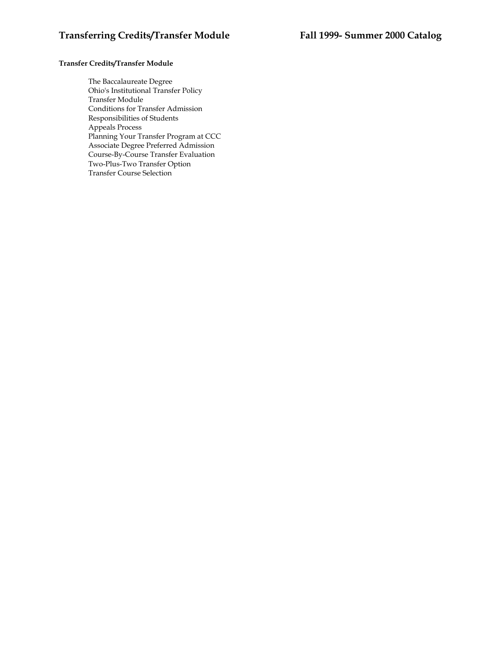# **Transfer Credits/Transfer Module**

The Baccalaureate Degree Ohio's Institutional Transfer Policy Transfer Module Conditions for Transfer Admission Responsibilities of Students Appeals Process Planning Your Transfer Program at CCC Associate Degree Preferred Admission Course-By-Course Transfer Evaluation Two-Plus-Two Transfer Option Transfer Course Selection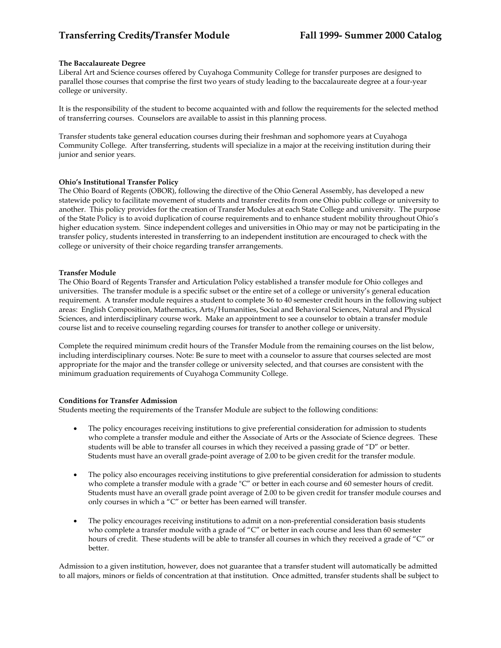### **The Baccalaureate Degree**

Liberal Art and Science courses offered by Cuyahoga Community College for transfer purposes are designed to parallel those courses that comprise the first two years of study leading to the baccalaureate degree at a four-year college or university.

It is the responsibility of the student to become acquainted with and follow the requirements for the selected method of transferring courses. Counselors are available to assist in this planning process.

Transfer students take general education courses during their freshman and sophomore years at Cuyahoga Community College. After transferring, students will specialize in a major at the receiving institution during their junior and senior years.

#### **Ohio's Institutional Transfer Policy**

The Ohio Board of Regents (OBOR), following the directive of the Ohio General Assembly, has developed a new statewide policy to facilitate movement of students and transfer credits from one Ohio public college or university to another. This policy provides for the creation of Transfer Modules at each State College and university. The purpose of the State Policy is to avoid duplication of course requirements and to enhance student mobility throughout Ohio's higher education system. Since independent colleges and universities in Ohio may or may not be participating in the transfer policy, students interested in transferring to an independent institution are encouraged to check with the college or university of their choice regarding transfer arrangements.

#### **Transfer Module**

The Ohio Board of Regents Transfer and Articulation Policy established a transfer module for Ohio colleges and universities. The transfer module is a specific subset or the entire set of a college or university's general education requirement. A transfer module requires a student to complete 36 to 40 semester credit hours in the following subject areas: English Composition, Mathematics, Arts/Humanities, Social and Behavioral Sciences, Natural and Physical Sciences, and interdisciplinary course work. Make an appointment to see a counselor to obtain a transfer module course list and to receive counseling regarding courses for transfer to another college or university.

Complete the required minimum credit hours of the Transfer Module from the remaining courses on the list below, including interdisciplinary courses. Note: Be sure to meet with a counselor to assure that courses selected are most appropriate for the major and the transfer college or university selected, and that courses are consistent with the minimum graduation requirements of Cuyahoga Community College.

# **Conditions for Transfer Admission**

Students meeting the requirements of the Transfer Module are subject to the following conditions:

- The policy encourages receiving institutions to give preferential consideration for admission to students who complete a transfer module and either the Associate of Arts or the Associate of Science degrees. These students will be able to transfer all courses in which they received a passing grade of "D" or better. Students must have an overall grade-point average of 2.00 to be given credit for the transfer module.
- The policy also encourages receiving institutions to give preferential consideration for admission to students who complete a transfer module with a grade "C" or better in each course and 60 semester hours of credit. Students must have an overall grade point average of 2.00 to be given credit for transfer module courses and only courses in which a "C" or better has been earned will transfer.
- The policy encourages receiving institutions to admit on a non-preferential consideration basis students who complete a transfer module with a grade of "C" or better in each course and less than 60 semester hours of credit. These students will be able to transfer all courses in which they received a grade of "C" or better.

Admission to a given institution, however, does not guarantee that a transfer student will automatically be admitted to all majors, minors or fields of concentration at that institution. Once admitted, transfer students shall be subject to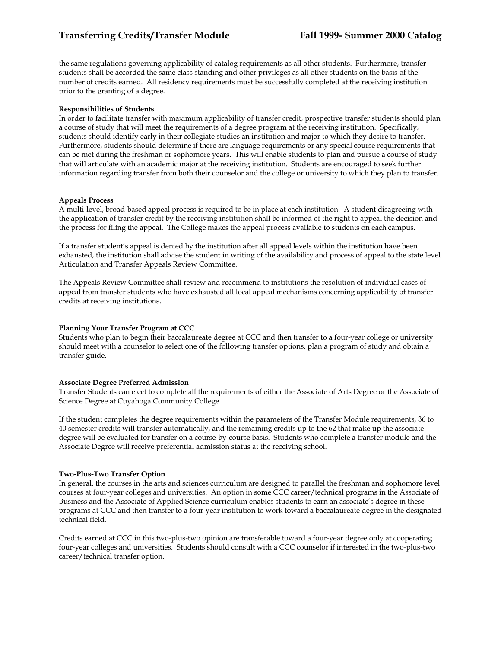the same regulations governing applicability of catalog requirements as all other students. Furthermore, transfer students shall be accorded the same class standing and other privileges as all other students on the basis of the number of credits earned. All residency requirements must be successfully completed at the receiving institution prior to the granting of a degree.

### **Responsibilities of Students**

In order to facilitate transfer with maximum applicability of transfer credit, prospective transfer students should plan a course of study that will meet the requirements of a degree program at the receiving institution. Specifically, students should identify early in their collegiate studies an institution and major to which they desire to transfer. Furthermore, students should determine if there are language requirements or any special course requirements that can be met during the freshman or sophomore years. This will enable students to plan and pursue a course of study that will articulate with an academic major at the receiving institution. Students are encouraged to seek further information regarding transfer from both their counselor and the college or university to which they plan to transfer.

#### **Appeals Process**

A multi-level, broad-based appeal process is required to be in place at each institution. A student disagreeing with the application of transfer credit by the receiving institution shall be informed of the right to appeal the decision and the process for filing the appeal. The College makes the appeal process available to students on each campus.

If a transfer student's appeal is denied by the institution after all appeal levels within the institution have been exhausted, the institution shall advise the student in writing of the availability and process of appeal to the state level Articulation and Transfer Appeals Review Committee.

The Appeals Review Committee shall review and recommend to institutions the resolution of individual cases of appeal from transfer students who have exhausted all local appeal mechanisms concerning applicability of transfer credits at receiving institutions.

## **Planning Your Transfer Program at CCC**

Students who plan to begin their baccalaureate degree at CCC and then transfer to a four-year college or university should meet with a counselor to select one of the following transfer options, plan a program of study and obtain a transfer guide.

#### **Associate Degree Preferred Admission**

Transfer Students can elect to complete all the requirements of either the Associate of Arts Degree or the Associate of Science Degree at Cuyahoga Community College.

If the student completes the degree requirements within the parameters of the Transfer Module requirements, 36 to 40 semester credits will transfer automatically, and the remaining credits up to the 62 that make up the associate degree will be evaluated for transfer on a course-by-course basis. Students who complete a transfer module and the Associate Degree will receive preferential admission status at the receiving school.

#### **Two-Plus-Two Transfer Option**

In general, the courses in the arts and sciences curriculum are designed to parallel the freshman and sophomore level courses at four-year colleges and universities. An option in some CCC career/technical programs in the Associate of Business and the Associate of Applied Science curriculum enables students to earn an associate's degree in these programs at CCC and then transfer to a four-year institution to work toward a baccalaureate degree in the designated technical field.

Credits earned at CCC in this two-plus-two opinion are transferable toward a four-year degree only at cooperating four-year colleges and universities. Students should consult with a CCC counselor if interested in the two-plus-two career/technical transfer option.